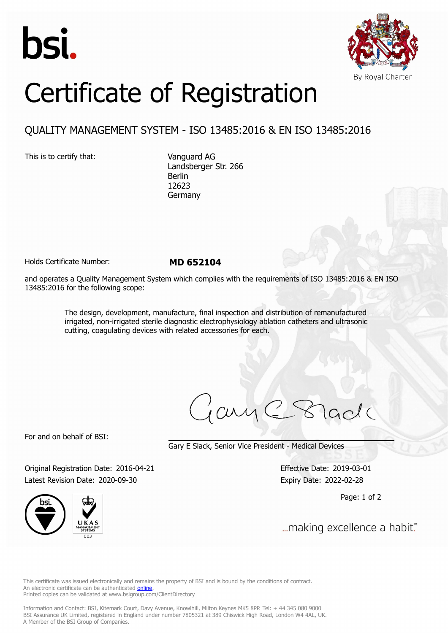



## Certificate of Registration

## QUALITY MANAGEMENT SYSTEM - ISO 13485:2016 & EN ISO 13485:2016

This is to certify that: Vanguard AG

Landsberger Str. 266 Berlin 12623 Germany

Holds Certificate Number: **MD 652104**

and operates a Quality Management System which complies with the requirements of ISO 13485:2016 & EN ISO 13485:2016 for the following scope:

> The design, development, manufacture, final inspection and distribution of remanufactured irrigated, non-irrigated sterile diagnostic electrophysiology ablation catheters and ultrasonic cutting, coagulating devices with related accessories for each.

For and on behalf of BSI:

Gary E Slack, Senior Vice President - Medical Devices

Original Registration Date: 2016-04-21 Effective Date: 2019-03-01 Latest Revision Date: 2020-09-30 Expiry Date: 2022-02-28



Page: 1 of 2

... making excellence a habit."

This certificate was issued electronically and remains the property of BSI and is bound by the conditions of contract. An electronic certificate can be authenticated **[online](https://pgplus.bsigroup.com/CertificateValidation/CertificateValidator.aspx?CertificateNumber=MD+652104&ReIssueDate=30%2f09%2f2020&Template=uk)**. Printed copies can be validated at www.bsigroup.com/ClientDirectory

Information and Contact: BSI, Kitemark Court, Davy Avenue, Knowlhill, Milton Keynes MK5 8PP. Tel: + 44 345 080 9000 BSI Assurance UK Limited, registered in England under number 7805321 at 389 Chiswick High Road, London W4 4AL, UK. A Member of the BSI Group of Companies.